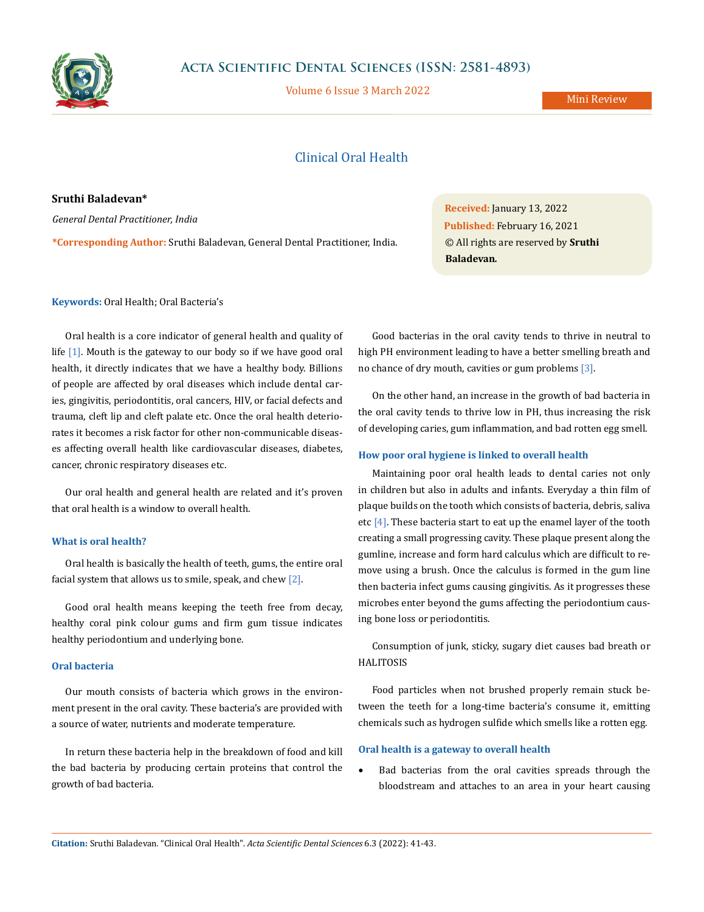

Volume 6 Issue 3 March 2022

# Clinical Oral Health

**Sruthi Baladevan\*** *General Dental Practitioner, India*

**\*Corresponding Author:** Sruthi Baladevan, General Dental Practitioner, India.

**Received:** January 13, 2022 **Published:** February 16, 2021 © All rights are reserved by **Sruthi Baladevan***.*

**Keywords:** Oral Health; Oral Bacteria's

Oral health is a core indicator of general health and quality of life  $[1]$ . Mouth is the gateway to our body so if we have good oral health, it directly indicates that we have a healthy body. Billions of people are affected by oral diseases which include dental caries, gingivitis, periodontitis, oral cancers, HIV, or facial defects and trauma, cleft lip and cleft palate etc. Once the oral health deteriorates it becomes a risk factor for other non-communicable diseases affecting overall health like cardiovascular diseases, diabetes, cancer, chronic respiratory diseases etc.

Our oral health and general health are related and it's proven that oral health is a window to overall health.

#### **What is oral health?**

Oral health is basically the health of teeth, gums, the entire oral facial system that allows us to smile, speak, and chew  $[2]$ .

Good oral health means keeping the teeth free from decay, healthy coral pink colour gums and firm gum tissue indicates healthy periodontium and underlying bone.

# **Oral bacteria**

Our mouth consists of bacteria which grows in the environment present in the oral cavity. These bacteria's are provided with a source of water, nutrients and moderate temperature.

In return these bacteria help in the breakdown of food and kill the bad bacteria by producing certain proteins that control the growth of bad bacteria.

Good bacterias in the oral cavity tends to thrive in neutral to high PH environment leading to have a better smelling breath and no chance of dry mouth, cavities or gum problems [3].

On the other hand, an increase in the growth of bad bacteria in the oral cavity tends to thrive low in PH, thus increasing the risk of developing caries, gum inflammation, and bad rotten egg smell.

#### **How poor oral hygiene is linked to overall health**

Maintaining poor oral health leads to dental caries not only in children but also in adults and infants. Everyday a thin film of plaque builds on the tooth which consists of bacteria, debris, saliva etc  $[4]$ . These bacteria start to eat up the enamel layer of the tooth creating a small progressing cavity. These plaque present along the gumline, increase and form hard calculus which are difficult to remove using a brush. Once the calculus is formed in the gum line then bacteria infect gums causing gingivitis. As it progresses these microbes enter beyond the gums affecting the periodontium causing bone loss or periodontitis.

Consumption of junk, sticky, sugary diet causes bad breath or HALITOSIS

Food particles when not brushed properly remain stuck between the teeth for a long-time bacteria's consume it, emitting chemicals such as hydrogen sulfide which smells like a rotten egg.

#### **Oral health is a gateway to overall health**

Bad bacterias from the oral cavities spreads through the bloodstream and attaches to an area in your heart causing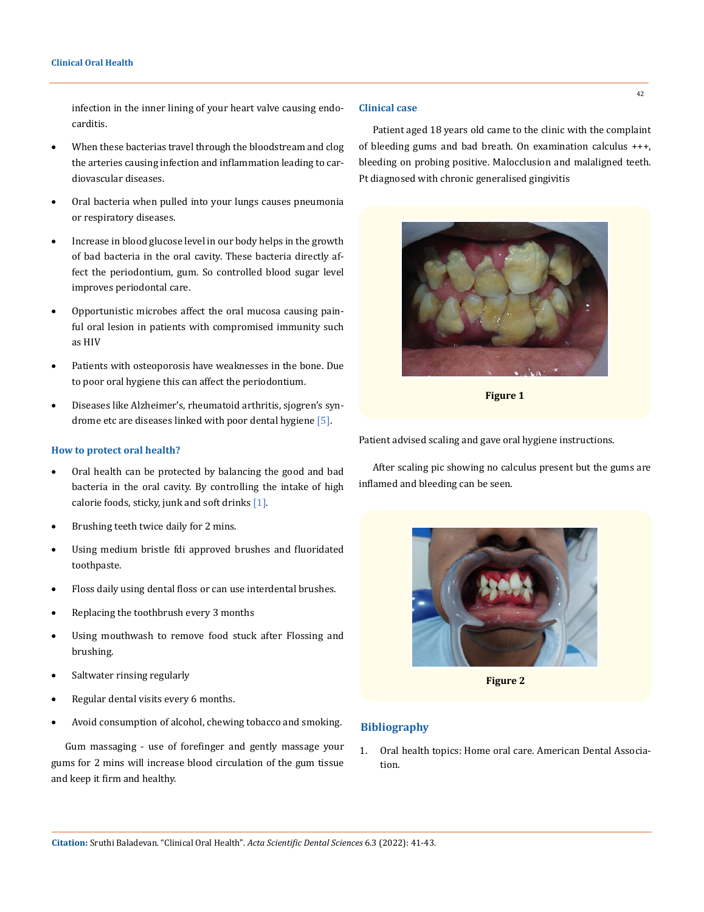infection in the inner lining of your heart valve causing endocarditis.

- When these bacterias travel through the bloodstream and clog the arteries causing infection and inflammation leading to cardiovascular diseases.
- • Oral bacteria when pulled into your lungs causes pneumonia or respiratory diseases.
- • Increase in blood glucose level in our body helps in the growth of bad bacteria in the oral cavity. These bacteria directly affect the periodontium, gum. So controlled blood sugar level improves periodontal care.
- • Opportunistic microbes affect the oral mucosa causing painful oral lesion in patients with compromised immunity such as HIV
- • Patients with osteoporosis have weaknesses in the bone. Due to poor oral hygiene this can affect the periodontium.
- • Diseases like Alzheimer's, rheumatoid arthritis, sjogren's syndrome etc are diseases linked with poor dental hygiene [5].

#### **How to protect oral health?**

- Oral health can be protected by balancing the good and bad bacteria in the oral cavity. By controlling the intake of high calorie foods, sticky, junk and soft drinks [1].
- Brushing teeth twice daily for 2 mins.
- Using medium bristle fdi approved brushes and fluoridated toothpaste.
- • Floss daily using dental floss or can use interdental brushes.
- • Replacing the toothbrush every 3 months
- • Using mouthwash to remove food stuck after Flossing and brushing.
- Saltwater rinsing regularly
- Regular dental visits every 6 months.
- • Avoid consumption of alcohol, chewing tobacco and smoking.

Gum massaging - use of forefinger and gently massage your gums for 2 mins will increase blood circulation of the gum tissue and keep it firm and healthy.

## **Clinical case**

Patient aged 18 years old came to the clinic with the complaint of bleeding gums and bad breath. On examination calculus +++, bleeding on probing positive. Malocclusion and malaligned teeth. Pt diagnosed with chronic generalised gingivitis



**Figure 1**

Patient advised scaling and gave oral hygiene instructions.

After scaling pic showing no calculus present but the gums are inflamed and bleeding can be seen.



**Figure 2**

## **Bibliography**

1. [Oral health topics: Home oral care. American Dental Associa](https://www.ada.org/resources/research/science-and-research-institute/oral-health-topics)[tion.](https://www.ada.org/resources/research/science-and-research-institute/oral-health-topics)